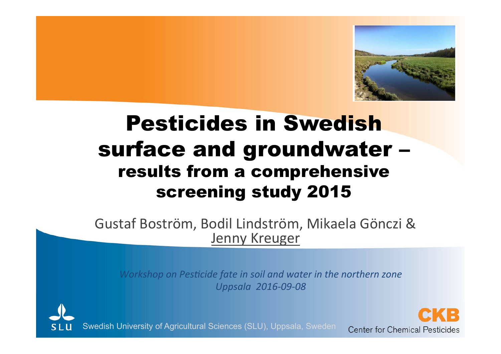

# Pesticides in Swedish surface and groundwater – results from a comprehensive screening study 2015

Gustaf Boström, Bodil Lindström, Mikaela Gönczi & Jenny Kreuger

*Workshop on Pesticide fate in soil and water in the northern zone Uppsala 2016-09-08* 



Swedish University of Agricultural Sciences (SLU), Uppsala, Sweden

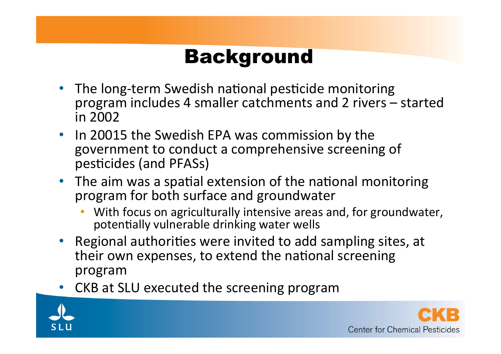# Background

- The long-term Swedish national pesticide monitoring program includes 4 smaller catchments and 2 rivers – started in 2002
- In 20015 the Swedish EPA was commission by the government to conduct a comprehensive screening of pesticides (and PFASs)
- The aim was a spatial extension of the national monitoring program for both surface and groundwater
	- With focus on agriculturally intensive areas and, for groundwater, potentially vulnerable drinking water wells
- Regional authorities were invited to add sampling sites, at their own expenses, to extend the national screening program
- CKB at SLU executed the screening program



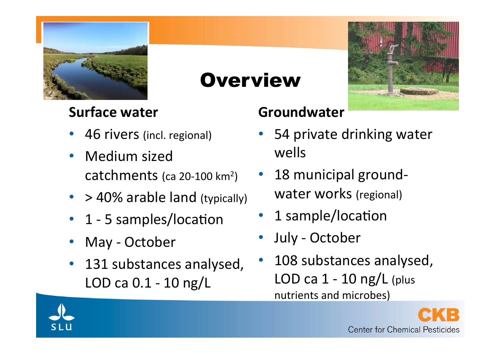

# **Overview**

#### **Surface water**

- 46 rivers (incl. regional)
- Medium sized catchments (ca 20-100 km<sup>2</sup>)
- $\cdot$  > 40% arable land (typically)
- 1 5 samples/location
- May October
- 131 substances analysed, LOD ca 0.1 - 10 ng/L

#### **Groundwater**

- 54 private drinking water wells
- 18 municipal groundwater works (regional)
- 1 sample/location
- July October
- 108 substances analysed, LOD ca  $1 - 10$  ng/L (plus nutrients and microbes)



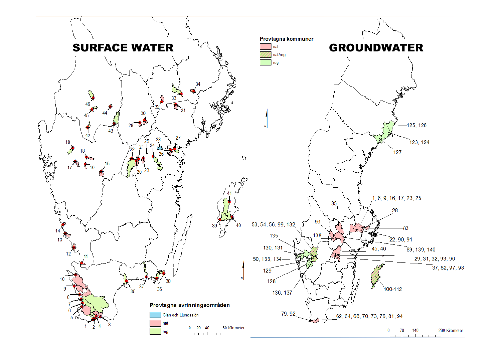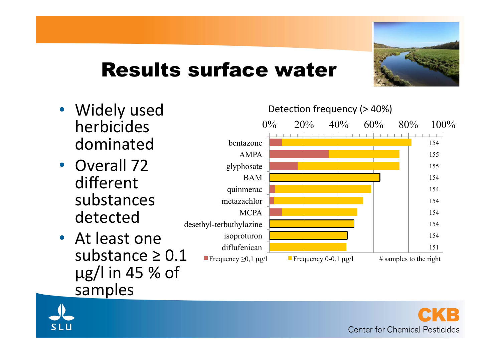

- Widely used herbicides dominated
- Overall 72 different substances detected
- At least one substance  $\geq 0.1$  $\mu$ g/l in 45 % of samples





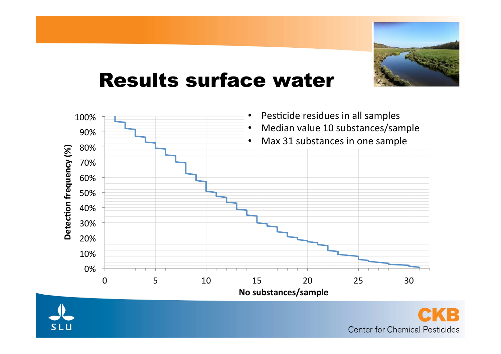



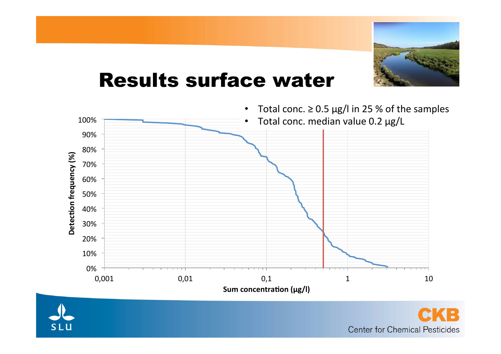



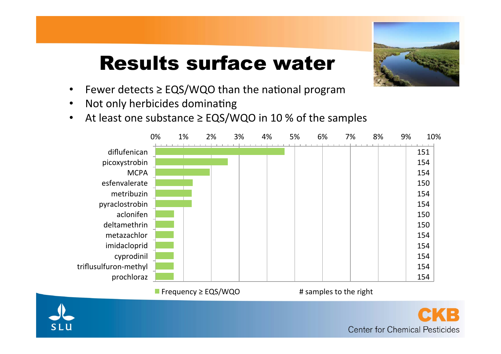

- Fewer detects  $\geq$  EQS/WQO than the national program
- Not only herbicides dominating
- At least one substance  $\geq$  EQS/WQO in 10 % of the samples



■ Frequency ≥ EQS/WQO **4 amples** to the right

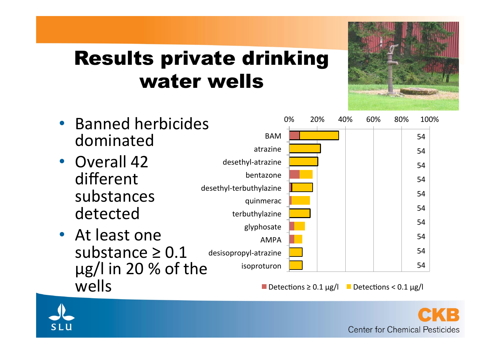

- Banned herbicides dominated
- Overall 42 different substances detected
- At least one substance  $\geq 0.1$  $\mu$ g/l in 20 % of the wells



Detections  $\geq 0.1 \ \mu$ g/l  $\blacksquare$  Detections < 0.1  $\mu$ g/l

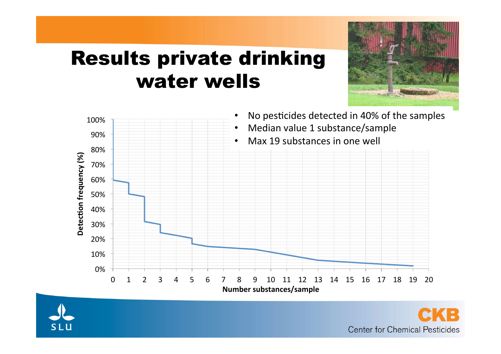





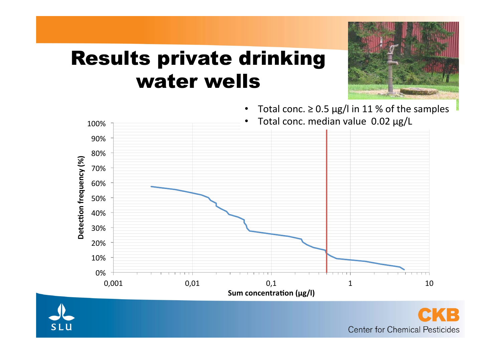



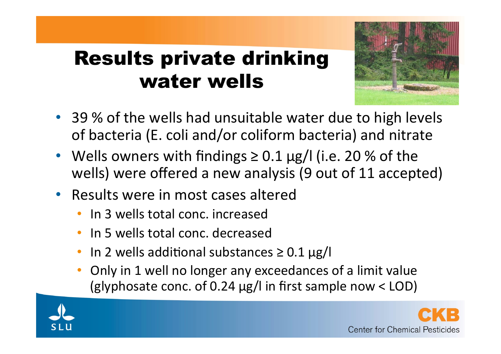

- 39 % of the wells had unsuitable water due to high levels of bacteria (E. coli and/or coliform bacteria) and nitrate
- Wells owners with findings  $\geq$  0.1 µg/l (i.e. 20 % of the wells) were offered a new analysis (9 out of 11 accepted)
- Results were in most cases altered
	- In 3 wells total conc. increased
	- In 5 wells total conc. decreased
	- In 2 wells additional substances  $\geq 0.1 \mu$ g/l
	- Only in 1 well no longer any exceedances of a limit value (glyphosate conc. of 0.24  $\mu$ g/l in first sample now < LOD)



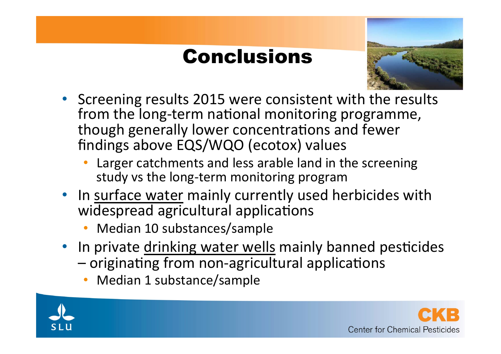## Conclusions



- Screening results 2015 were consistent with the results from the long-term national monitoring programme, though generally lower concentrations and fewer findings above EQS/WQO (ecotox) values
	- Larger catchments and less arable land in the screening study vs the long-term monitoring program
- In surface water mainly currently used herbicides with widespread agricultural applications
	- Median 10 substances/sample
- In private drinking water wells mainly banned pesticides
	- originating from non-agricultural applications
		- Median 1 substance/sample